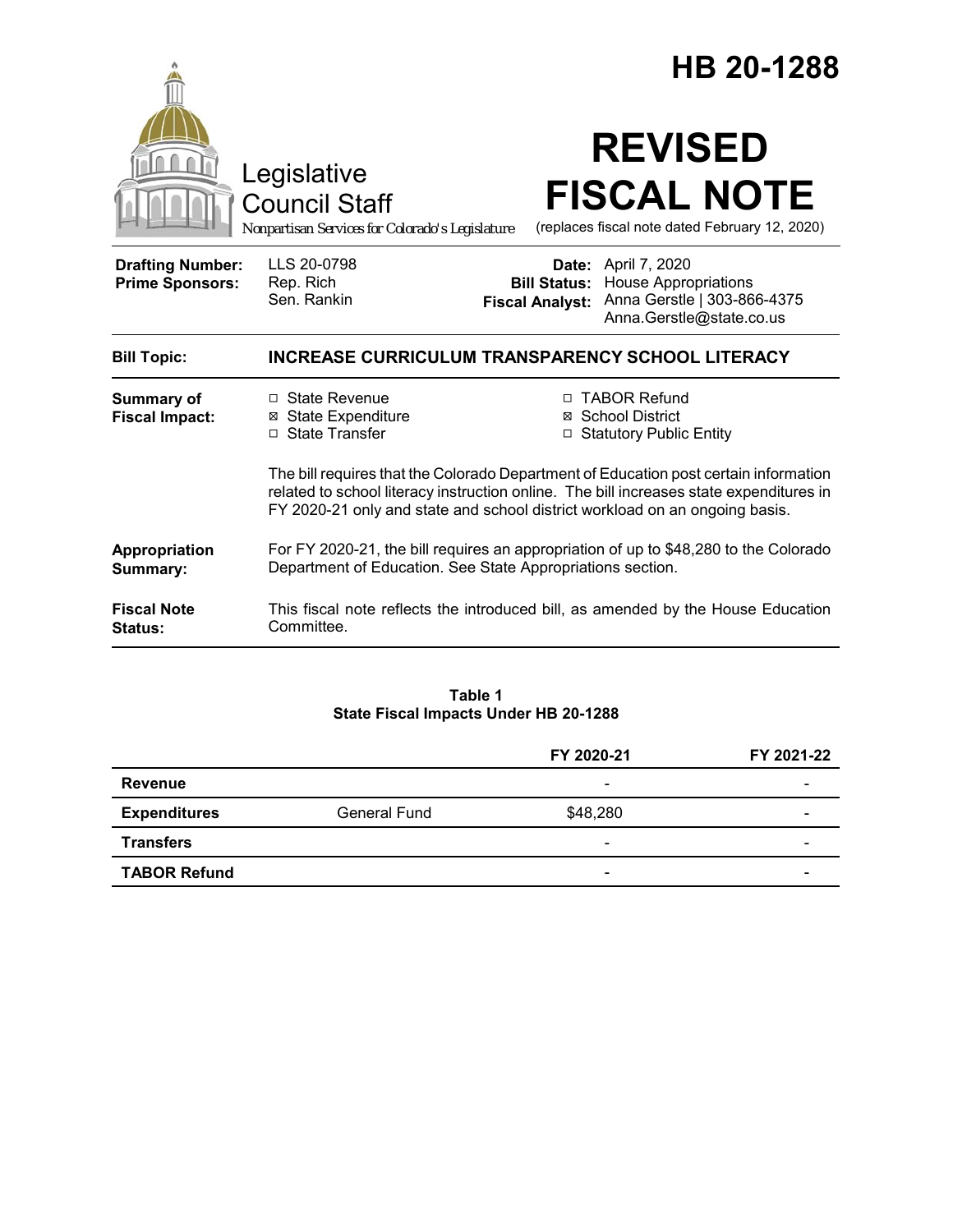|                                                   |                                                                                                                                                                                                                                                                | HB 20-1288                                    |                                                                                                                      |
|---------------------------------------------------|----------------------------------------------------------------------------------------------------------------------------------------------------------------------------------------------------------------------------------------------------------------|-----------------------------------------------|----------------------------------------------------------------------------------------------------------------------|
|                                                   | Legislative<br><b>Council Staff</b><br>Nonpartisan Services for Colorado's Legislature                                                                                                                                                                         |                                               | <b>REVISED</b><br><b>FISCAL NOTE</b><br>(replaces fiscal note dated February 12, 2020)                               |
| <b>Drafting Number:</b><br><b>Prime Sponsors:</b> | LLS 20-0798<br>Rep. Rich<br>Sen. Rankin                                                                                                                                                                                                                        | <b>Bill Status:</b><br><b>Fiscal Analyst:</b> | <b>Date:</b> April 7, 2020<br><b>House Appropriations</b><br>Anna Gerstle   303-866-4375<br>Anna.Gerstle@state.co.us |
| <b>Bill Topic:</b>                                | <b>INCREASE CURRICULUM TRANSPARENCY SCHOOL LITERACY</b>                                                                                                                                                                                                        |                                               |                                                                                                                      |
| <b>Summary of</b><br><b>Fiscal Impact:</b>        | □ State Revenue<br><b>⊠</b> State Expenditure<br>□ State Transfer                                                                                                                                                                                              |                                               | □ TABOR Refund<br>⊠ School District<br>□ Statutory Public Entity                                                     |
|                                                   | The bill requires that the Colorado Department of Education post certain information<br>related to school literacy instruction online. The bill increases state expenditures in<br>FY 2020-21 only and state and school district workload on an ongoing basis. |                                               |                                                                                                                      |
| Appropriation<br>Summary:                         | For FY 2020-21, the bill requires an appropriation of up to \$48,280 to the Colorado<br>Department of Education. See State Appropriations section.                                                                                                             |                                               |                                                                                                                      |
| <b>Fiscal Note</b><br>Status:                     | This fiscal note reflects the introduced bill, as amended by the House Education<br>Committee.                                                                                                                                                                 |                                               |                                                                                                                      |

### **Table 1 State Fiscal Impacts Under HB 20-1288**

|                     |              | FY 2020-21               | FY 2021-22 |
|---------------------|--------------|--------------------------|------------|
| Revenue             |              | $\overline{\phantom{0}}$ |            |
| <b>Expenditures</b> | General Fund | \$48,280                 | -          |
| <b>Transfers</b>    |              | $\overline{\phantom{a}}$ | -          |
| <b>TABOR Refund</b> |              | $\overline{\phantom{0}}$ |            |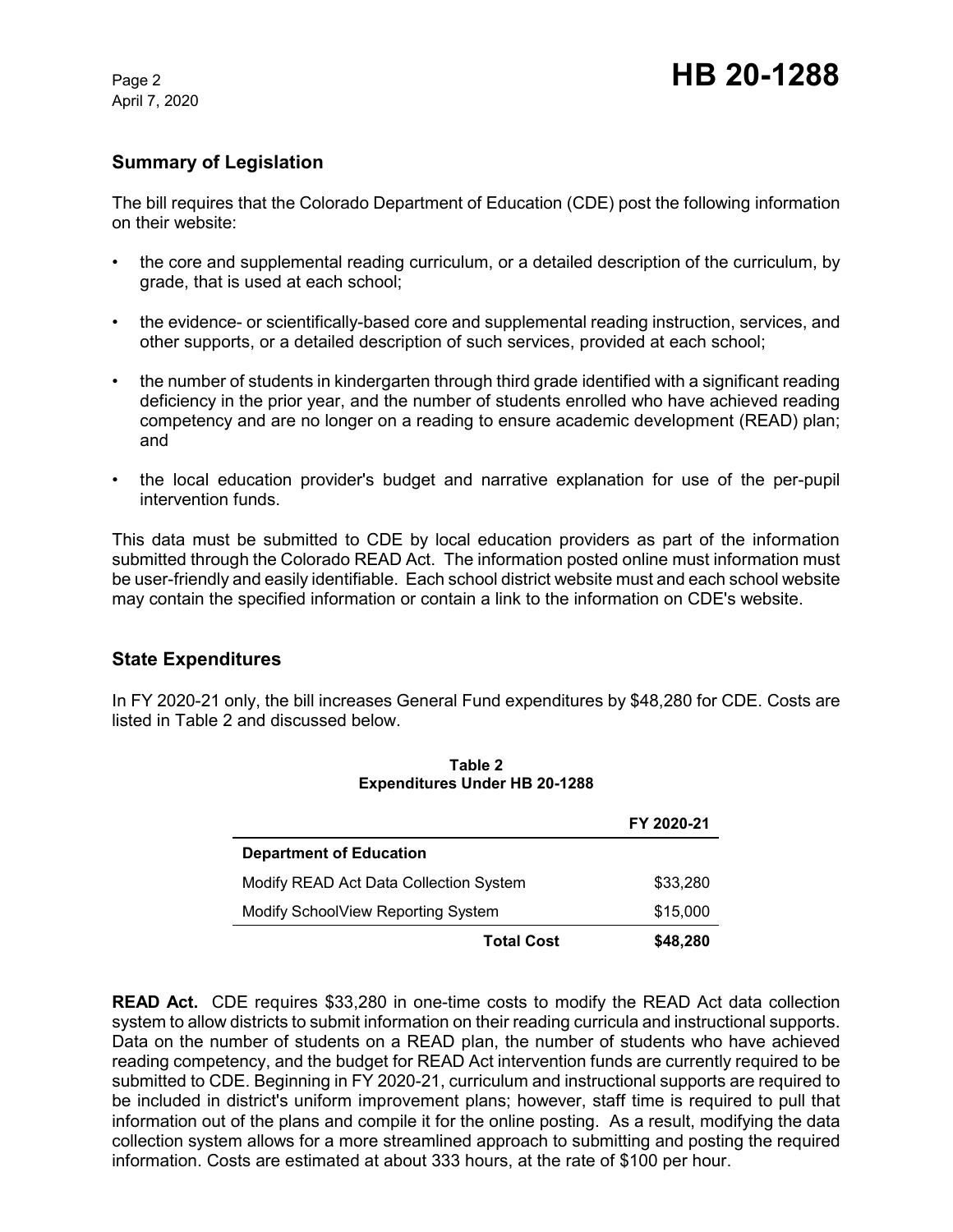April 7, 2020

# **Summary of Legislation**

The bill requires that the Colorado Department of Education (CDE) post the following information on their website:

- the core and supplemental reading curriculum, or a detailed description of the curriculum, by grade, that is used at each school;
- the evidence- or scientifically-based core and supplemental reading instruction, services, and other supports, or a detailed description of such services, provided at each school;
- the number of students in kindergarten through third grade identified with a significant reading deficiency in the prior year, and the number of students enrolled who have achieved reading competency and are no longer on a reading to ensure academic development (READ) plan; and
- the local education provider's budget and narrative explanation for use of the per-pupil intervention funds.

This data must be submitted to CDE by local education providers as part of the information submitted through the Colorado READ Act. The information posted online must information must be user-friendly and easily identifiable. Each school district website must and each school website may contain the specified information or contain a link to the information on CDE's website.

## **State Expenditures**

In FY 2020-21 only, the bill increases General Fund expenditures by \$48,280 for CDE. Costs are listed in Table 2 and discussed below.

|                                        | FY 2020-21 |  |  |
|----------------------------------------|------------|--|--|
| <b>Department of Education</b>         |            |  |  |
| Modify READ Act Data Collection System | \$33,280   |  |  |
| Modify SchoolView Reporting System     | \$15,000   |  |  |
| <b>Total Cost</b>                      | \$48,280   |  |  |

**Table 2 Expenditures Under HB 20-1288**

**READ Act.** CDE requires \$33,280 in one-time costs to modify the READ Act data collection system to allow districts to submit information on their reading curricula and instructional supports. Data on the number of students on a READ plan, the number of students who have achieved reading competency, and the budget for READ Act intervention funds are currently required to be submitted to CDE. Beginning in FY 2020-21, curriculum and instructional supports are required to be included in district's uniform improvement plans; however, staff time is required to pull that information out of the plans and compile it for the online posting. As a result, modifying the data collection system allows for a more streamlined approach to submitting and posting the required information. Costs are estimated at about 333 hours, at the rate of \$100 per hour.